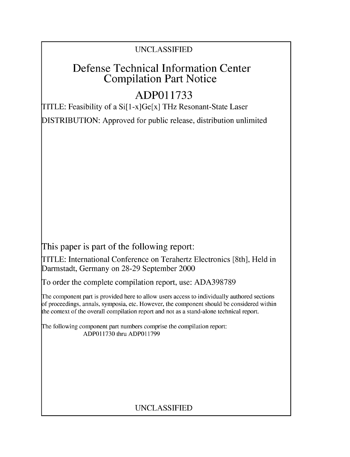### UNCLASSIFIED

## Defense Technical Information Center Compilation Part Notice

## **ADPO1 1733**

TITLE: Feasibility of a Si[1-x]Ge[x] THz Resonant-State Laser

DISTRIBUTION: Approved for public release, distribution unlimited

This paper is part of the following report:

TITLE: International Conference on Terahertz Electronics [8th], Held in Darmstadt, Germany on 28-29 September 2000

To order the complete compilation report, use: ADA398789

The component part is provided here to allow users access to individually authored sections f proceedings, annals, symposia, etc. However, the component should be considered within [he context of the overall compilation report and not as a stand-alone technical report.

The following component part numbers comprise the compilation report: ADPO11730 thru ADP011799

### UNCLASSIFIED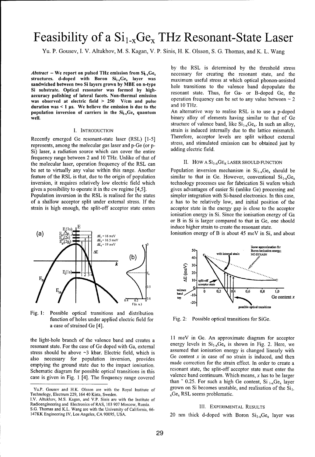# Feasibility of a  $Si_{1-x}Ge_x$  THz Resonant-State Laser

Yu. P. Gousev, I. V. Altukhov, M. S. Kagan, V. P. Sinis, H. K. Olsson, S. G. Thomas, and K. L. Wang

*Abstract* – We report on pulsed THz emission from Si<sub>1x</sub>Ge<sub>x</sub> necessary for creating the resonant state, and the structures. d-doped with Boron  $Si_{1x}Ge_x$  layer was maximum useful stress at which optical phonon-assisted sandwiched between two Si layers grown by MBE on n-type hole transitions to the valence band depopulate the Si substrate. Optical resonator was formed by highaccuracy polishing of lateral facets. Non-thermal emission resonant state. Thus, for Ga- or B-doped Ge, the<br>accuracy polishing of lateral facets. Non-thermal emission operation frequency can be set to any value between  $\$ was observed at electric field  $> 250$  V/cm and pulse operation frequency can be set to any value for the set of the set of the set of the set of the set of the set of the set of the set of the set of the set of the set o duration was  $\lt 1$  µs. We believe the emission is due to the and  $10$  THz.<br>
nopulation inversion of carriers in the Si<sub>r</sub>Ge, quantum An alternative way to realise RSL is to use a p-doped population inversion of carriers in the  $Si_{1x}Ge_{x}$  quantum well. **binary alloy of elements having similar to that of Ge** 

represents, among the molecular gas laser and p-Ge (or **p-** stress, and stimulated emission can be obtained just by Si) laser, a radiation source which can cover the entire adding electric field. frequency range between 2 and 10 THz. Unlike of that of the molecular laser, operation frequency of the RSL can II. HOW A  $SI_{1-x}GE_x$  LASER SHOULD FUNCTION be set to virtually any value within this range. Another Population inversion mechanism in  $Si_{1-x}Ge_x$  should be feature of the RSL is that, due to the origin of population similar to that in Ge. However, conventional  $Si_{1,x}Ge_{x}$ inversion, it requires relatively low electric field which technology processes use for fabrication Si wafers which

Population inversion in the RSL is realised for the states simpler integration with Si-based electronics. In this case, of a shallow acceptor split under external stress. If the  $x$  has to be relatively low, and initial position of the



Fig. 1: Possible optical transitions and distribution function of holes under applied electric field for Fig. 2: Possible optical transitions for SiGe. a case of strained Ge [4].

resonant state. For the case of Ge doped with Ga, external energy levels in  $\mathbf{S}_{1-x}\mathbf{G}_{x}$  is shown in Fig. 2. Here, we assumed that ionisation energy is changed linearly with stress should be above  $\sim$ 3 kbar. Electric field, which is assumed that ionisation energy is changed inearly with also necessary for population inversion, provides emptying the ground state due to the impact ionisation. made correction for the strain effect. In order to create a Schematic diagram for possible optical transitions in this resonant state, the split-off acceptor state must enter the case is given in Fig. 1 [4]. The frequency range covered valence band continuum. Which means, x has to be larger

I.V. Altukhov, M.S. Kagan, and V.P. Sinis are with the Institute of Radioengineering and Electronics of RAS, 103 907 Moscow, Russia. **111.** EXPERIMENTAL RESULTS

S.G. Thomas and K.L. Wang are with the University of California, 66- 147KK Engineering IV, Los Angeles, CA 90095, USA. 20 nm thick d-doped with Boron  $Si_{1-x}Ge_x$  layer was

by the RSL is determined by the threshold stress

structure of valence band, like  $Si_{1-x}Ge_x$ . In such an alloy, I. INTRODUCTION strain is induced internally due to the lattice mismatch. Recently emerged Ge resonant-state laser (RSL) [1-5] Therefore, acceptor levels are split without external

gives a possibility to operate it in the cw regime [4,5]. gives advantages of easier Si (unlike Ge) processing and strain is high enough, the split-off acceptor state enters acceptor state in the energy gap is close to the acceptor ionisation energy in Si. Since the ionisation energy of Ga or B in Si is larger compared to that in Ge, one should induce higher strain to create the resonant state.





the light-hole branch of the valence band and creates a 11 meV in Ge. An approximate diagram for acceptor<br>resonant state. For the case of Ge doned with Ga external energy levels in  $Si_{1-x}Ge_x$  is shown in Fig. 2. Here, we than  $\degree$  0.25. For such a high Ge content, Si  $_{1-x}$ Ge<sub>x</sub> layer Yu.P. Gousev and H.K. Olsson are with the Royal Institute of grown on Si becomes unstable, and realisation of the  $Si<sub>1</sub>$ .

Technology, Electrum 229, 164 40 Kista, Sweden.  $\chi$ Ge $_{\chi}$  RSL seems problematic.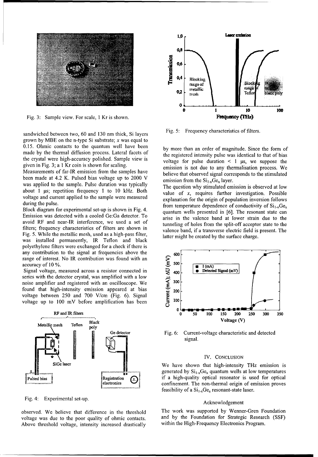

sandwiched between two, 60 and 130 nm thick, Si layers Fig. 5: Frequency characteristics of filters. grown by MBE on the n-type Si substrate;  $x$  was equal to 0.15. Ohmic contacts to the quantum well have been **by** more than an order of magnitude. Since the form of made by the thermal diffusion process. Lateral facets of the registered intensity pulse was identical to that of bias the crystal were high-accuracy polished. Sample view is voltage for pulse duration  $\leq 1$  us we suppos

Measurements of far-IR emission from the samples have believe that observed signal corresponds to the stimulated been made at 4.2 K. Pulsed bias voltage up to  $2000 \text{ V}$  emission from the  $\text{Si}_{1x}\text{Ge}_{x}$  layer. was applied to the sample. Pulse duration was typically The question why stimulated emission is observed at low about 1 µs; repetition frequency 1 to 10 kHz. Both value of x, requires further investigation. Possible voltage and current applied to the sample were measured explanation for the origin of population inversion follows

Emission was detected with a cooled Ge:Ga detector. To arise in the valence band at lower strain due to the avoid RF and near-IR interference, we used a set of tunneling of holes from the split-off acceptor state to the filters; frequency characteristics of filters are shown in valence band, if a transverse electric field is present. The Fig. 5. While the metallic mesh, used as a high-pass filter, latter might be created by the surface charge. was installed permanently, IR Teflon and black polyethylene filters were exchanged for a check if there is any contribution to the signal at frequencies above the  $\sim$  600 range of interest. No IR contribution was found with an

range of interest. No IR contribution was found with an accuracy of 10 %.<br>
Signal voltage, measured across a resistor connected in<br>
series with the detector crystal, was amplified with a low<br>
noise amplifier and registere Signal voltage, measured across a resistor connected in **400 e** Detected Signal (mV) series with the detector crystal, was amplified with a low noise amplifier and registered with an oscilloscope. We **5** 300 found that high-intensity emission appeared at bias  $\frac{1}{2}$  200 voltage between 250 and 700 V/cm (Fig. 6). Signal voltage up to 100 mV before amplification has been **100** 



Fig. 4: Experimental set-up. The set of the set of the set of the set of the set of the set of the set of the set of the set of the set of the set of the set of the set of the set of the set of the set of the set of the se

Above threshold voltage, intensity increased drastically within the High-Frequency Electronics Program.



the crystal were high-accuracy polished. Sample view is voltage for pulse duration **<** 1 ps, we suppose the given in Fig. 3; a **I** Kr coin is shown for scaling, emission is not due to any thermalisation process. We

during the pulse. from temperature dependence of conductivity of SilxGex Block diagram for experimental set-up is shown in Fig. 4. quantum wells presented in [6]. The resonant state can



Fig. 6: Current-voltage characteristic and detected signal.

### IV. CONCLUSION

generated by  $Si_{1-x}Ge_x$  quantum wells at low temperatures Pulsed bias  $\downarrow$  Registration  $\bigcap$  if a high-quality optical resonator is used for optical  $\left\{\text{electronic} \right\}$  confinement. The non-thermal origin of emission proves feasibility of a  $Si<sub>1-x</sub>Ge<sub>x</sub>$  resonant-state laser.

observed. We believe that difference in the threshold The work was supported by Wenner-Gren Foundation voltage was due to the poor quality of ohmic contacts, and by the Foundation for Strategic Research (SSF)